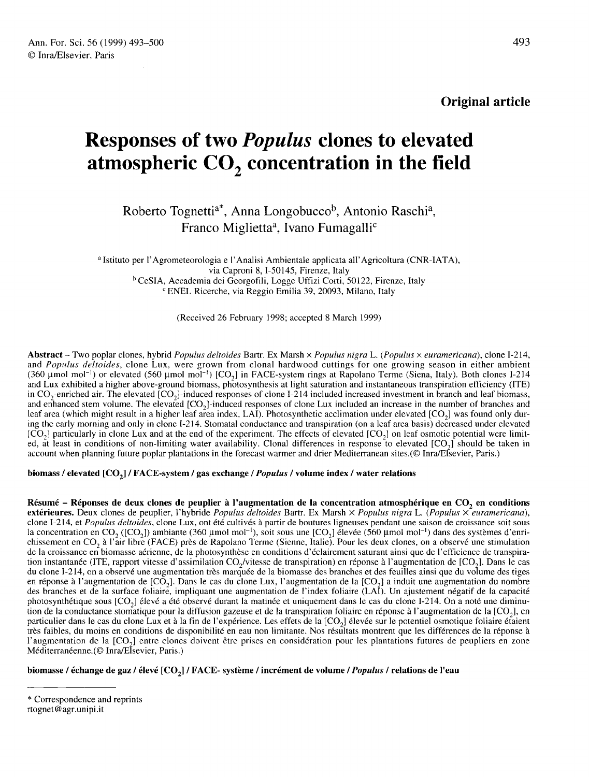# Responses of two Populus clones to elevated **Responses of two** *Populus* **clones to elevated<br>atmospheric**  $CO_2$  **concentration in the field**<br>Roberto Tognetti<sup>a\*</sup>, Anna Longobucco<sup>b</sup>, Antonio Raschi<sup>a</sup>,<br>Franco Miglietta<sup>a</sup>, Ivano Fumagalli<sup>c</sup>

**IC CO<sub>2</sub> concentration**<br>pgnetti<sup>a\*</sup>, Anna Longobucco<sup>b</sup>, Anton<br>Franco Miglietta<sup>a</sup>, Ivano Fumagalli<sup>o</sup> Franco Miglietta<sup>a</sup>, Ivano Fumagalli<sup>c</sup><br><sup>a</sup> Istituto per l'Agrometeorologia e l'Analisi Ambientale applicata all'Agricoltura (CNR-IATA),

via Caproni 8, 1-50145, Firenze, Italy <sup>b</sup> CeSIA, Accademia dei Georgofili, Logge Uffizi Corti, 50122, Firenze, Italy <sup>c</sup> ENEL Ricerche, via Reggio Emilia 39, 20093, Milano, Italy

(Received 26 February 1998; accepted 8 March 1999)

Abstract - Two poplar clones, hybrid Populus deltoides Bartr. Ex Marsh x Populus nigra L. (Populus x euramericana), clone I-214, and Populus deltoides, clone Lux, were grown from clonal hardwood cuttings for one growing season in either ambient  $(360 \text{ µmol mol}^{-1})$  or elevated  $(560 \text{ µmol mol}^{-1})$   $[CO<sub>2</sub>]$  in FACE-system rings at Rapolano Terme (Siena, Italy). Both clones I-214 and Lux exhibited a higher above-ground biomass, photosynthesis at light saturation and instantaneous transpiration efficiency (ITE) **Abstract** – Two poplar clones, hybrid *Populus deltoides* Bartr. Ex Marsh × *Populus nigra* L. (*Populus* × *euramericana*), clone I-214, and *Populus deltoides*, clone Lux, were grown from clonal hardwood cuttings for o **Abstract** – Two poplar clones, hybrid *Populus deltoides* Bartr. Ex Marsh  $\times$  *Populus nigra* L. (*Populus*  $\times$  *euramericana*), clone I-214, and *Populus deltoides*, clone Lux, were grown from clonal hardwood cuttings and enhanced stem volume. The elevated  $[CO_2]$ -induced responses of clone Lux included an increase in the number of branches and leaf area (which might result in a higher leaf area index, LAI). Photosynthetic acclimation ing the early morning and only in clone I-214. Stomatal conductance and transpiration (on a leaf area basis) decreased under elevated leaf area (which might result in a higher leaf area index, LAI). Photosynthetic acclimation under elevated  $[CO_2]$  was found only during the early morning and only in clone I-214. Stomatal conductance and transpiration (o  $[CO<sub>2</sub>]$  particularly in clone Lux and at the end of the experiment. The effects of elevated  $[CO<sub>2</sub>]$  on leaf osmotic potential were limited, at least in conditions of non-limiting water availability. Clonal differe account when planning future poplar plantations in the forecast warmer and drier Mediterranean sites.(© Inra/Elsevier, Paris.)

### biomass / elevated [CO<sub>2</sub>] / FACE-system / gas exchange / Populus / volume index / water relations

Résumé - Réponses de deux clones de peuplier à l'augmentation de la concentration atmosphérique en CO<sub>2</sub> en conditions extérieures. Deux clones de peuplier, l'hybride Populus deltoides Bartr. Ex Marsh  $\times$  Populus nigra L. (Populus  $\times$ euramericana), clone I-214, et Populus deltoides, clone Lux, ont été cultivés à partir de boutures ligneuses pendant une saison de croissance soit sous **Résumé – Réponses de deux clones de peuplier à l'augmentation de la concentration atmosphérique en**  $CO_2$  **en conditions extérieures. Deux clones de peuplier, l'hybride** *Populus deltoides* **Bartr. Ex Marsh**  $\times$ *Populus nig* de la croissance en biomasse aérienne, de la photosynthèse en conditions d'éclairement saturant ainsi que de l'efficience de transpira-<br>tion instantanée (ITE, rapport vitesse d'assimilation CO<sub>2</sub>/vitesse de transpiration) **extérieures.** Deux clones de peuplier, l'hybride Populus deltoides Bartr. Ex Marsh × Populus nigra L. (Populus × euramericana),<br>clone I-214, et Populus deltoides, clone Lux, ont été cultivés à partir de boutures ligneuse du clone I-214, on a observé une augmentation très marquée de la biomasse des branches et des feuilles ainsi que du volume des tiges<br>en réponse à l'augmentation de  $[CO_2]$ . Dans le cas du clone Lux, l'augmentation de la des branches et de la surface foliaire, impliquant une augmentation de l'index foliaire (LAI). Un ajustement négatif de la capacité en réponse à l'augmentation de [CO<sub>2</sub>]. Dans le cas du clone Lux, l'augmentation de la [CO<sub>2</sub>] a induit une augmentation du nombre<br>des branches et de la surface foliaire, impliquant une augmentation de l'index foliaire (L des branches et de la surface foliaire, impliquant une augmentation de l'index foliaire (LAÎ). Un ajustement négatif de la capacité<br>photosynthétique sous [CO<sub>2</sub>] élevé a été observé durant la matinée et uniquement dans le très faibles, du moins en conditions de disponibilité en eau non limitante. Nos résultats montrent que les différences de la réponse à particulier dans le cas du clone Lux et à la fin de l'expérience. Les effets de la [CO<sub>2</sub>] élevée sur le potentiel osmotique foliaire étaient<br>très faibles, du moins en conditions de disponibilité en eau non limitante. Nos Méditerranéenne.(© Inra/Elsevier, Paris.)

biomasse / échange de gaz / élevé [CO<sub>2</sub>] / FACE- système / incrément de volume / *Populus* / relations de l'eau

rtognet@agr.unipi.it

<sup>\*</sup> Correspondence and reprints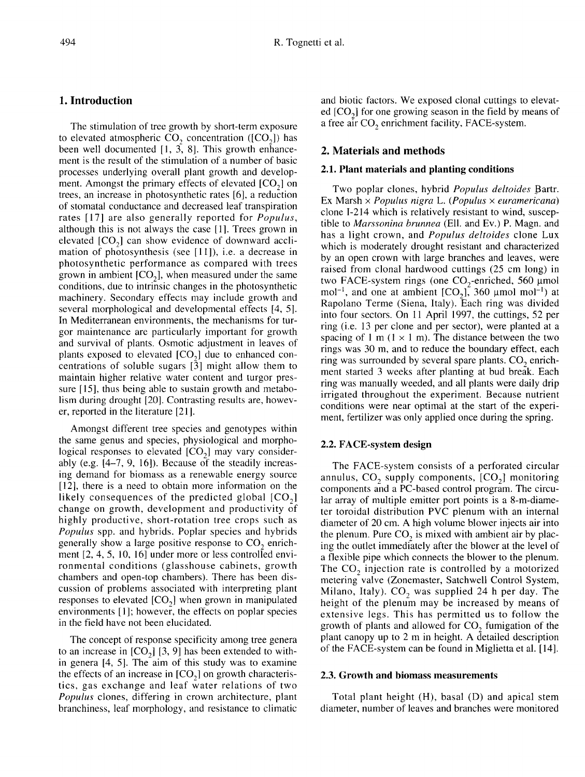# 1. Introduction

The stimulation of tree growth by short-term exposure<br>to elevated atmospheric  $CO_2$  concentration ( $[CO_2]$ ) has The stimulation of tree growth by short-term exposure<br>to elevated atmospheric  $CO_2$  concentration ( $[CO_2]$ ) has<br>been well documented [1, 3, 8]. This growth enhancement is the result of the stimulation of a number of basic processes underlying overall plant growth and develop ment is the result of the stimulation of a number of basic<br>processes underlying overall plant growth and develop-<br>ment. Amongst the primary effects of elevated  $[CO_2]$  on<br>trees, an increase in photosynthetic rates [6], a trees, an increase in photosynthetic rates [6], a reduction of stomatal conductance and decreased leaf transpiration rates [17] are also generally reported for Populus, although this is not always the case [1]. Trees grown in rates [17] are also generally reported for *Populus*,<br>although this is not always the case [1]. Trees grown in<br>elevated  $[CO_2]$  can show evidence of downward accli-<br>mation of photosynthesis (see [111]), i.e. a decrease in mation of photosynthesis (see [11]), i.e. a decrease in photosynthetic performance as compared with trees grown in ambient  $[CO_2]$ , when measured under the same conditions, due to intrinsic changes in the photosynthetic machinery. Secondary effects may include growth and several morphological and developmental effects [4, 5]. In Mediterranean environments, the mechanisms for turgor maintenance are particularly important for growth and survival of plants. Osmotic adjustment in leaves of gor maintenance are particularly important for growth<br>and survival of plants. Osmotic adjustment in leaves of<br>plants exposed to elevated  $[CO_2]$  due to enhanced con-<br>centrations of soluble sugars  $[3]$  might allow them to centrations of soluble sugars [3] might allow them to maintain higher relative water content and turgor pressure [15], thus being able to sustain growth and metabolism during drought [20]. Contrasting results are, however, reported in the literature [21].

Amongst different tree species and genotypes within the same genus and species, physiological and morphological responses to elevated  $[CO<sub>2</sub>]$  may vary considerably (e.g. [4-7, 9, 16]). Because of the steadily increasing demand for biomass as a renewable energy source [12], there is a need to obtain more information on the ing demand for biomass as a renewable energy source<br>[12], there is a need to obtain more information on the<br>likely consequences of the predicted global  $[CO<sub>2</sub>]$ <br>change on growth, development and productivity of change on growth, development and productivity of highly productive, short-rotation tree crops such as Populus spp. and hybrids. Poplar species and hybrids generally show a large positive response to  $CO<sub>2</sub>$  enrichment [2, 4, 5, 10, 16] under more or less controlled environmental conditions (glasshouse cabinets, growth chambers and open-top chambers). There has been discussion of problems associated with interpreting plant responses to elevated [CO,] when grown in manipulated environments [1]; however, the effects on poplar species in the field have not been elucidated.

The concept of response specificity among tree genera to an increase in  $[CO_2]$  [3, 9] has been extended to within genera [4, 5]. The aim of this study was to examine the effects of an increase in  $[CO<sub>2</sub>]$  on growth characteristics, gas exchange and leaf water relations of two Populus clones, differing in crown architecture, plant branchiness, leaf morphology, and resistance to climatic

and biotic factors. We exposed clonal cuttings to elevated [CO<sub>2</sub>] for one growing season in the field by means of a free air CO<sub>2</sub> enrichment facility. FACE-system. ed  $[CO<sub>2</sub>]$  for one growing season in the field by means of a free air  $CO<sub>2</sub>$  enrichment facility, FACE-system.

# 2. Materials and methods

## 2.1. Plant materials and planting conditions

Two poplar clones, hybrid Populus deltoides Bartr. Ex Marsh  $\times$  Populus nigra L. (Populus  $\times$  euramericana) clone I-214 which is relatively resistant to wind, susceptible to Marssonina brunnea (Ell. and Ev.) P. Magn. and has a light crown, and Populus deltoides clone Lux which is moderately drought resistant and characterized by an open crown with large branches and leaves, were raised from clonal hardwood cuttings (25 cm long) in clone I-214 which is relatively resistant to wind, suscep-<br>tible to *Marssonina brunnea* (Ell. and Ev.) P. Magn. and<br>has a light crown, and *Populus deltoides* clone Lux<br>which is moderately drought resistant and character Rapolano Terme (Siena, Italy). Each ring was divided into four sectors. On 11 April 1997, the cuttings, 52 per ring (i.e. 13 per clone and per sector), were planted at a spacing of 1 m ( $1 \times 1$  m). The distance between the two rings was 30 m, and to reduce the boundary effect, each<br>ring was surrounded by several spare plants.  $CO_2$  enrich-<br>ment started 3 weeks after planting at bud break. Each ment started 3 weeks after planting at bud break. Each ring was manually weeded, and all plants were daily drip irrigated throughout the experiment. Because nutrient conditions were near optimal at the start of the experiment, fertilizer was only applied once during the spring.

# 2.2. FACE-system design

The FACE-system consists of a perforated circular annulus,  $CO_2$  supply components,  $[CO_2]$  monitoring components and a PC-based control program. The circular array of multiple emitter port points is a 8-m-diameter toroidal distribution PVC plenum with an internal diameter of 20 cm. A high volume blower injects air into the plenum. Pure  $CO<sub>2</sub>$  is mixed with ambient air by placing the outlet immediately after the blower at the level of a flexible pipe which connects the blower to the plenum. The  $CO<sub>2</sub>$  injection rate is controlled by a motorized metering valve (Zonemaster, Satchwell Control System, Milano, Italy).  $CO_2$  was supplied 24 h per day. The height of the plenum may be increased by means of extensive legs. This has permitted us to follow the growth of plants and allowed for  $CO<sub>2</sub>$  fumigation of the plant canopy up to 2 m in height. A detailed description of the FACE-system can be found in Miglietta et al. [ 14].

## 2.3. Growth and biomass measurements

Total plant height (H), basal (D) and apical stem diameter, number of leaves and branches were monitored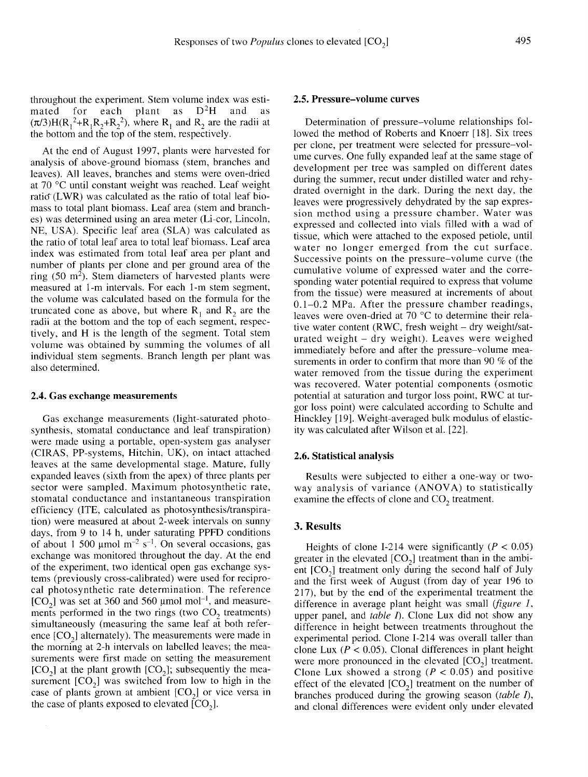throughout the experiment. Stem volume index was esti-<br>mated for each plant as  $D^2H$  and as Responses of two *Popu*<br>
throughout the experiment. Stem volume index was esti-<br>
mated for each plant as  $D^2H$  and as<br>  $(\pi/3)H(R_1^2+R_1R_2+R_2^2)$ , where  $R_1$  and  $R_2$  are the radii at<br>
the bottom and the top of the st the bottom and the top of the stem, respectively.

At the end of August 1997, plants were harvested for analysis of above-ground biomass (stem, branches and leaves). All leaves, branches and stems were oven-dried at 70 °C until constant weight was reached. Leaf weight ratio (LWR) was calculated as the ratio of total leaf biomass to total plant biomass. Leaf area (stem and branches) was determined using an area meter (Li-cor, Lincoln, NE, USA). Specific leaf area (SLA) was calculated as the ratio of total leaf area to total leaf biomass. Leaf area index was estimated from total leaf area per plant and number of plants per clone and per ground area of the<br>ring (50 m<sup>2</sup>). Stem diameters of harvested plants were measured at 1-m intervals. For each 1-m stem segment, the volume was calculated based on the formula for the truncated cone as above, but where  $R_1$  and  $R_2$  are the radii at the bottom and the top of each segment, respectively, and H is the length of the segment. Total stem volume was obtained by summing the volumes of all individual stem segments. Branch length per plant was also determined.

#### 2.4. Gas exchange measurements

Gas exchange measurements (light-saturated photosynthesis, stomatal conductance and leaf transpiration) were made using a portable, open-system gas analyser (CIRAS, PP-systems, Hitchin, UK), on intact attached leaves at the same developmental stage. Mature, fully expanded leaves (sixth from the apex) of three plants per sector were sampled. Maximum photosynthetic rate, stomatal conductance and instantaneous transpiration efficiency (ITE, calculated as photosynthesis/transpiration) were measured at about 2-week intervals on sunny days, from 9 to 14 h, under saturating PPFD conditions of about 1 500 μmol  $m^{-2}$  s<sup>-1</sup>. On several occasions, gas exchange was monitored throughout the day. At the end of the experiment, two identical open gas exchange systems (previously cross-calibrated) were used for reciprocal photosynthetic rate determination. The reference tems (previously cross-calibrated) were used for recipro-<br>cal photosynthetic rate determination. The reference<br>[CO<sub>2</sub>] was set at 360 and 560 µmol mol<sup>-1</sup>, and measure-<br>ments performed in the two rings (two CO<sub>2</sub> treatmen [CO<sub>2</sub>] was set at 360 and 560 µmol mol<sup>-1</sup>, and measure-<br>ments performed in the two rings (two CO<sub>2</sub> treatments)<br>simultaneously (measuring the same leaf at both refersimultaneously (measuring the same leaf at both referments performed in the two rings (two  $CO_2$  treatments)<br>simultaneously (measuring the same leaf at both refer-<br>ence  $[CO_2]$  alternately). The measurements were made in<br>the morning at 2-h intervals on labelled leaves; the the morning at 2-h intervals on labelled leaves; the measurements were first made on setting the measurement  $[CO<sub>2</sub>]$  at the plant growth  $[CO<sub>2</sub>]$ ; subsequently the measurement  $[CO<sub>3</sub>]$  was switched from low to h surements were first made on setting the measurement  $[CO<sub>2</sub>]$  at the plant growth  $[CO<sub>2</sub>]$ ; subsequently the measurement  $[CO<sub>2</sub>]$  was switched from low to high in the  $[CO_2]$  at the plant growth  $[CO_2]$ ; subsequently the measurement  $[CO_2]$  was switched from low to high in the case of plants grown at ambient  $[CO_2]$  or vice versa in the case of plants exposed to elevated  $[CO_2]$ .

## 2.5. Pressure-volume curves

Determination of pressure-volume relationships followed the method of Roberts and Knoerr [18]. Six trees per clone, per treatment were selected for pressure-vol ume curves. One fully expanded leaf at the same stage of development per tree was sampled on different dates during the summer, recut under distilled water and rehydrated overnight in the dark. During the next day, the leaves were progressively dehydrated by the sap expression method using a pressure chamber. Water was expressed and collected into vials filled with a wad of tissue, which were attached to the exposed petiole, until water no longer emerged from the cut surface. Successive points on the pressure-volume curve (the cumulative volume of expressed water and the corresponding water potential required to express that volume from the tissue) were measured at increments of about 0.1-0.2 MPa. After the pressure chamber readings, leaves were oven-dried at 70 °C to determine their relative water content (RWC, fresh weight - dry weight/saturated weight - dry weight). Leaves were weighed immediately before and after the pressure-volume measurements in order to confirm that more than 90 % of the water removed from the tissue during the experiment was recovered. Water potential components (osmotic potential at saturation and turgor loss point, RWC at turgor loss point) were calculated according to Schulte and Hinckley [19]. Weight-averaged bulk modulus of elasticity was calculated after Wilson et al. [22].

#### 2.6. Statistical analysis

Results were subjected to either a one-way or twoway analysis of variance  $(ANOVA)$  to statistically examine the effects of clone and  $CO_2$  treatment.

#### 3. Results

Heights of clone I-214 were significantly ( $P < 0.05$ ) Heights of clone I-214 were significantly ( $P < 0.05$ ) greater in the elevated  $[CO_2]$  treatment than in the ambi-<br>ent ICO<sub>2</sub>] treatment only during the second half of July Heights of clone 1-214 were significantly ( $P \le 0.03$ )<br>greater in the elevated  $[CO_2]$  treatment than in the ambi-<br>ent  $[CO_2]$  treatment only during the second half of July<br>and the first week of August (from day of year 1 and the first week of August (from day of year 196 to 217), but by the end of the experimental treatment the difference in average plant height was small *(figure 1,* upper panel, and *table I*). Clone Lux did not show any difference in height between treatments throughout the experimental period. Clone I-214 was overall taller than clone Lux ( $P < 0.05$ ). Clonal differences in plant height experimental period. Clone 1-214 was overall taller than<br>clone Lux ( $P < 0.05$ ). Clonal differences in plant height<br>were more pronounced in the elevated [CO<sub>2</sub>] treatment.<br>Clone Lux showed a strong ( $P < 0.05$ ) and positive Clone Lux showed a strong ( $P < 0.05$ ) and positive were more pronounced in the elevated  $[CO_2]$  treatment.<br>Clone Lux showed a strong ( $P < 0.05$ ) and positive<br>effect of the elevated  $[CO_2]$  treatment on the number of<br>branches produced during the growing season *(table I)*. branches produced during the growing season (table I), and clonal differences were evident only under elevated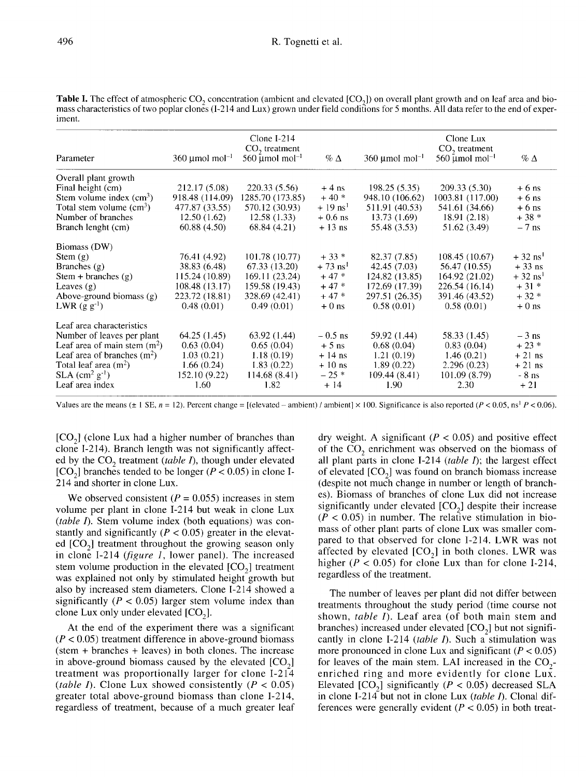| <b>Table I.</b> The effect of atmospheric CO <sub>2</sub> concentration (ambient and elevated $[CO2]$ ) on overall plant growth and on leaf area and bio- |
|-----------------------------------------------------------------------------------------------------------------------------------------------------------|
| mass characteristics of two poplar clones (I-214 and Lux) grown under field conditions for 5 months. All data refer to the end of exper-                  |
| iment.                                                                                                                                                    |

|                                     | Clone $I-214$                                                           |                                                                                           | Clone Lux                                        |                                                                        |                                                                                             |  |
|-------------------------------------|-------------------------------------------------------------------------|-------------------------------------------------------------------------------------------|--------------------------------------------------|------------------------------------------------------------------------|---------------------------------------------------------------------------------------------|--|
| $360 \text{$ umol mol <sup>-1</sup> | $560 \text{ \mu}$ mol <sup>-1</sup>                                     | $\%$ $\Delta$                                                                             | $360 \text{ \mu}$ mol <sup>-1</sup>              | $560 \text{ \mu}$ mol mol <sup>-1</sup>                                | $\%$ $\Delta$                                                                               |  |
|                                     |                                                                         |                                                                                           |                                                  |                                                                        |                                                                                             |  |
| 212.17 (5.08)                       | 220.33(5.56)                                                            | $+4$ ns                                                                                   | 198.25(5.35)                                     | 209.33(5.30)                                                           | $+6$ ns                                                                                     |  |
| 918.48 (114.09)                     | 1285.70 (173.85)                                                        | $+40*$                                                                                    | 948.10 (106.62)                                  | 1003.81 (117.00)                                                       | $+6$ ns                                                                                     |  |
| 477.87 (33.55)                      | 570.12 (30.93)                                                          | $+19 \text{ ns}^1$                                                                        | 511.91 (40.53)                                   | 541.61 (34.66)                                                         | $+6$ ns                                                                                     |  |
| 12.50(1.62)                         | 12.58(1.33)                                                             | $+0.6$ ns                                                                                 | 13.73(1.69)                                      | 18.91(2.18)                                                            | $+38*$                                                                                      |  |
| 60.88(4.50)                         | 68.84 (4.21)                                                            | $+13$ ns                                                                                  | 55.48 (3.53)                                     | 51.62 (3.49)                                                           | $-7$ ns                                                                                     |  |
|                                     |                                                                         |                                                                                           |                                                  |                                                                        |                                                                                             |  |
| 76.41 (4.92)                        | 101.78 (10.77)                                                          | $+33*$                                                                                    | 82.37 (7.85)                                     | 108.45(10.67)                                                          | $+32$ ns <sup>1</sup>                                                                       |  |
| 38.83 (6.48)                        | 67.33 (13.20)                                                           | $+73$ ns <sup>1</sup>                                                                     | 42.45 (7.03)                                     | 56.47 (10.55)                                                          | $+33$ ns                                                                                    |  |
| 115.24 (10.89)                      | 169.11 (23.24)                                                          | $+47*$                                                                                    | 124.82 (13.85)                                   | 164.92 (21.02)                                                         | $+32$ ns <sup>1</sup>                                                                       |  |
| 108.48(13.17)                       | 159.58 (19.43)                                                          | $+47*$                                                                                    | 172.69 (17.39)                                   | 226.54 (16.14)                                                         | $+31*$                                                                                      |  |
| 223.72 (18.81)                      | 328.69 (42.41)                                                          | $+47*$                                                                                    | 297.51 (26.35)                                   | 391.46 (43.52)                                                         | $+32*$                                                                                      |  |
| 0.48(0.01)                          | 0.49(0.01)                                                              | $+0$ ns                                                                                   | 0.58(0.01)                                       | 0.58(0.01)                                                             | $+0$ ns                                                                                     |  |
|                                     |                                                                         |                                                                                           |                                                  |                                                                        |                                                                                             |  |
|                                     |                                                                         |                                                                                           |                                                  |                                                                        | $-3$ ns                                                                                     |  |
|                                     |                                                                         |                                                                                           |                                                  |                                                                        | $+23*$                                                                                      |  |
|                                     |                                                                         | $+14$ ns                                                                                  |                                                  |                                                                        | $+21$ ns                                                                                    |  |
|                                     |                                                                         | $+10$ ns                                                                                  |                                                  |                                                                        | $+21$ ns                                                                                    |  |
|                                     |                                                                         |                                                                                           |                                                  |                                                                        | $-8$ ns                                                                                     |  |
| 1.60                                |                                                                         |                                                                                           | 1.90                                             | 2.30                                                                   | $+21$                                                                                       |  |
|                                     | 64.25 (1.45)<br>0.63(0.04)<br>1.03(0.21)<br>1.66(0.24)<br>152.10 (9.22) | $CO2$ treatment<br>63.92 (1.44)<br>0.65(0.04)<br>1.18(0.19)<br>1.83(0.22)<br>114.68(8.41) | $-0.5$ ns<br>$+5$ ns<br>$-25$ *<br>1.82<br>$+14$ | 59.92 (1.44)<br>0.68(0.04)<br>1.21(0.19)<br>1.89(0.22)<br>109.44(8.41) | $CO2$ treatment<br>58.33 (1.45)<br>0.83(0.04)<br>1.46(0.21)<br>2.296(0.23)<br>101.09 (8.79) |  |

Values are the means ( $\pm 1$  SE,  $n = 12$ ). Percent change = [(elevated – ambient) / ambient) × 100. Significance is also reported ( $P < 0.05$ , ns<sup>1</sup>  $P < 0.06$ ).

 $[CO<sub>2</sub>]$  (clone Lux had a higher number of branches than clone I-214). Branch length was not significantly affected by the  $CO_2$  treatment (table I), though under elevated  $[CO_1]$  branches tended to be longer ( $P < 0.05$ ) in clone Ied by the CO<sub>2</sub> treatment (*table 1*), though under elevated [CO<sub>2</sub>] branches tended to be longer ( $P < 0.05$ ) in clone I-214 and shorter in clone Lux.

We observed consistent ( $P = 0.055$ ) increases in stem volume per plant in clone I-214 but weak in clone Lux (table I). Stem volume index (both equations) was constantly and significantly  $(P < 0.05)$  greater in the elevat-(*table 1*). Stem volume index (both equations) was constantly and significantly ( $P < 0.05$ ) greater in the elevated [CO<sub>2</sub>] treatment throughout the growing season only in clone I-214 (*fieure 1*, lower panel). The incre in clone I-214 (figure 1, lower panel). The increased ed [CO<sub>2</sub>] treatment infoughout the growing season only<br>in clone I-214 (*figure 1*, lower panel). The increased<br>stem volume production in the elevated  $[CO_2]$  treatment<br>was explained not only by stimulated height growth b was explained not only by stimulated height growth but also by increased stem diameters. Clone I-214 showed a<br>significantly ( $P < 0.05$ ) larger stem volume index than<br>clone Lux only under elevated  $[CO_2]$ . significantly ( $P < 0.05$ ) larger stem volume index than clone Lux only under elevated [CO<sub>2</sub>].

At the end of the experiment there was a significant  $(P < 0.05)$  treatment difference in above-ground biomass (stem + branches + leaves) in both clones. The increase in above-ground biomass caused by the elevated  $[CO<sub>2</sub>]$  treatment was proportionally larger for clone I-214 (table I). Clone Lux showed consistently ( $P < 0.05$ ) greater total above-ground biomass than clone I-214, regardless of treatment, because of a much greater leaf

dry weight. A significant ( $P < 0.05$ ) and positive effect of the  $CO<sub>2</sub>$  enrichment was observed on the biomass of all plant parts in clone  $1-214$  (*table 1*); the largest effect of the CO<sub>2</sub> enrichment was observed on the biomass of<br>all plant parts in clone I-214 (*table I*); the largest effect<br>of elevated  $[CO_2]$  was found on branch biomass increase<br>(despite not much change in number or length o (despite not much change in number or length of branches). Biomass of branches of clone Lux did not increase significantly under elevated  $[CO<sub>2</sub>]$  despite their increase  $(P < 0.05)$  in number. The relative stimulation in biomass of other plant parts of clone Lux was smaller commass of other plant parts of clone Lux was smaller com-<br>pared to that observed for clone I-214. LWR was not<br>affected by elevated  $[CO_2]$  in both clones. LWR was<br>higher ( $P < 0.05$ ) for clone Lux than for clone I-214. higher ( $P < 0.05$ ) for clone Lux than for clone I-214, regardless of the treatment.

The number of leaves per plant did not differ between treatments throughout the study period (time course not shown, table I). Leaf area (of both main stem and branches) increased under elevated  $[CO<sub>2</sub>]$  but not significantly in clone I-214 (table I). Such a stimulation was more pronounced in clone Lux and significant ( $P < 0.05$ ) for leaves of the main stem. LAI increased in the CO<sub>2</sub>-<br>enriched ring and more evidently for clone Lux. for leaves of the main stem. LAI increased in the CO<sub>2</sub>-<br>enriched ring and more evidently for clone Lux.<br>Elevated [CO<sub>2</sub>] significantly ( $P < 0.05$ ) decreased SLA in clone I-214 but not in clone Lux (table I). Clonal differences were generally evident ( $P < 0.05$ ) in both treat-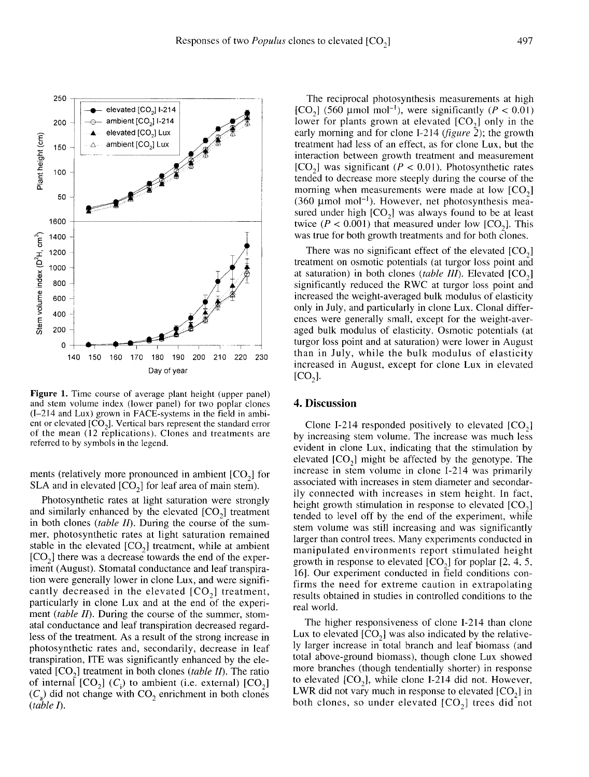

**Figure 1.** Time course of average plant height (upper panel) and stem volume index (lower panel) for two poplar clones (I-214 and Lux) grown in FACE-systems in the field in ambient or elevated  $[CO_2]$ . Vertical bars represent the standard error of the mean  $(12$  replications). Clones and treatments are referred to by symbols in the legend.

ments (relatively more pronounced in ambient  $[CO<sub>2</sub>]$  for SLA and in elevated  $[CO_2]$  for leaf area of main stem).

Photosynthetic rates at light saturation were strongly and similarly enhanced by the elevated  $[CO<sub>2</sub>]$  treatment in both clones *(table II)*. During the course of the summer, photosynthetic rates at light saturation remained in both clones (*table II*). During the course of the summer, photosynthetic rates at light saturation remained stable in the elevated  $[CO_2]$  treatment, while at ambient  $[CO_2]$  there was a decrease towards the end of th stable in the elevated  $[CO_2]$  treatment, while at ambient  $[CO_2]$  there was a decrease towards the end of the experiment (August). Stomatal conductance and leaf transpiration were generally lower in clone Lux, and were significantly decreased in the elevated  $[CO<sub>2</sub>]$  treatment, particularly in clone Lux and at the end of the experi ment *(table II)*. During the course of the summer, stomatal conductance and leaf transpiration decreased regardless of the treatment. As a result of the strong increase in photosynthetic rates and, secondarily, decrease in leaf transpiration, ITE was significantly enhanced by the elephotosynthetic rates and, secondarily, decrease in leaf<br>transpiration, ITE was significantly enhanced by the ele-<br>vated  $[CO_2]$  treatment in both clones (*table II*). The ratio<br>of internal  $[CO_2]$  (*C*) to ambient (i.e. e vated  $[CO_2]$  treatment in both clones (*table II*). The ratio of internal  $[CO_2]$  (*C<sub>i</sub>*) to ambient (i.e. external)  $[CO_2]$  $(C_a)$  did not change with CO<sub>2</sub> enrichment in both clones (table I).

The reciprocal photosynthesis measurements at high [CO<sub>2</sub>] (560 µmol mol<sup>-1</sup>), were significantly ( $P < 0.01$ ) lower for plants grown at elevated  $[CO<sub>2</sub>]$  only in the early morning and for clone I-214 ( $figure\$ 2); the growth treatment had less of an effect, as for clone Lux, but the interaction between growth treatment and measurement [CO<sub>2</sub>] was significant ( $P < 0.01$ ). Photosynthetic rates tended to decrease more steeply during the course of the morning when measurements were made at low  $[CO<sub>2</sub>]$ morning when measurements were made at low  $[CO_2]$ <br>(360 µmol mol<sup>-1</sup>). However, net photosynthesis measured under high  $[CO_2]$  was always found to be at least<br>twice (P < 0.001) that measured under low  $[CO_2]$ . This<br>was tr was true for both growth treatments and for both clones.

treatment on osmotic potentials (at turgor loss point and There was of the growth treatments and for both clones.<br>no significant effect of the elevated  $[CO_2]$ <br>smotic potentials (at turgor loss point and at saturation) in both clones (table III). Elevated  $[CO_2]$ significantly reduced the RWC at turgor loss point and increased the weight-averaged bulk modulus of elasticity only in July, and particularly in clone Lux. Clonal differences were generally small, except for the weight-averaged bulk modulus of elasticity. Osmotic potentials (at turgor loss point and at saturation) were lower in August than in July, while the bulk modulus of elasticity increased in August, except for clone Lux in elevated  $[CO<sub>2</sub>$ ].

# 4. Discussion

Clone I-214 responded positively to elevated  $[CO<sub>2</sub>]$ by increasing stem volume. The increase was much less evident in clone Lux, indicating that the stimulation by elevated  $[CO_2]$  might be affected by the genotype. The increase in stem volume in clone I-214 was primarily associated with increases in stem diameter and secondarily connected with increases in stem height. In fact, height growth stimulation tended to level off by the end of the experiment, while in stem diameter and secondar-<br>ases in stem height. In fact,<br>in response to elevated  $[CO_2]$ <br>end of the experiment, while stem volume was still increasing and was significantly larger than control trees. Many experiments conducted in manipulated environments report stimulated height arger than control trees. Many experiments conducted in<br>manipulated environments report stimulated height<br>growth in response to elevated [CO<sub>2</sub>] for poplar [2, 4, 5,<br>16]. Our experiment conducted in field conditions con-16]. Our experiment conducted in field conditions confirms the need for extreme caution in extrapolating results obtained in studies in controlled conditions to the real world.

The higher responsiveness of clone I-214 than clone Lux to elevated  $[CO<sub>2</sub>]$  was also indicated by the relatively larger increase in total branch and leaf biomass (and total above-ground biomass), though clone Lux showed total above-ground biomass), though clone Lux showed<br>more branches (though tendentially shorter) in response<br>to elevated  $[CO_2]$ , while clone I-214 did not. However,<br>LWR did not vary much in response to elevated  $[CO_3]$  i more branches (though tendentially shorter) in response<br>to elevated  $[CO_2]$ , while clone I-214 did not. However,<br>LWR did not vary much in response to elevated  $[CO_2]$  in<br>both clones, so under elevated  $[CO_2]$  trees did no LWR did not vary much in response to elevated  $[CO_2]$  in both clones, so under elevated  $[CO_2]$  trees did not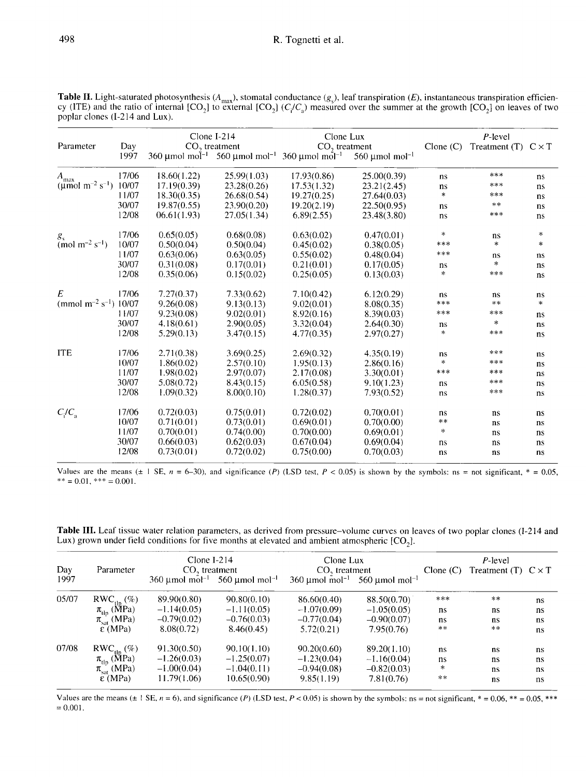**Table II.** Light-saturated photosynthesis ( $A_{\text{max}}$ ), stomatal conductance ( $g_s$ ), leaf transpiration (*E*), instantaneous transpiration efficiency (ITE) and the ratio of internal [CO<sub>2</sub>] to external [CO<sub>2</sub>] ( $C_f/C_a$ ) me

| Parameter                                        | Day   | Clone $I-214$<br>CO <sub>2</sub> treatment |                                                       | Clone Lux<br>$CO2$ treatment    |                                 | $C$ lone $(C)$ | P-level<br>Treatment (T) $C \times T$ |           |
|--------------------------------------------------|-------|--------------------------------------------|-------------------------------------------------------|---------------------------------|---------------------------------|----------------|---------------------------------------|-----------|
|                                                  | 1997  |                                            | 360 µmol mol <sup>-1</sup> 560 µmol mol <sup>-1</sup> | $360 \mu$ mol mol <sup>-1</sup> | 560 $\mu$ mol mol <sup>-1</sup> |                |                                       |           |
| $A_{\max}$                                       | 17/06 | 18.60(1.22)                                | 25.99(1.03)                                           | 17.93(0.86)                     | 25.00(0.39)                     | ns             | ***                                   | ns        |
| ( $\mu$ mol m <sup>-2</sup> s <sup>-1</sup> )    | 10/07 | 17.19(0.39)                                | 23.28(0.26)                                           | 17.53(1.32)                     | 23.21(2.45)                     | ns             | ***                                   | ns        |
|                                                  | 11/07 | 18.30(0.35)                                | 26.68(0.54)                                           | 19.27(0.25)                     | 27.64(0.03)                     | $\ast$         | ***                                   | ns        |
|                                                  | 30/07 | 19.87(0.55)                                | 23.90(0.20)                                           | 19.20(2.19)                     | 22.50(0.95)                     | ns             | $**$                                  | <b>ns</b> |
|                                                  | 12/08 | 06.61(1.93)                                | 27.05(1.34)                                           | 6.89(2.55)                      | 23.48(3.80)                     | ns             | ***                                   | ns        |
|                                                  | 17/06 | 0.65(0.05)                                 | 0.68(0.08)                                            | 0.63(0.02)                      | 0.47(0.01)                      | $\ast$         | ns                                    | $\ast$    |
| $\frac{g_s}{\text{(mol m}^{-2} \text{ s}^{-1})}$ | 10/07 | 0.50(0.04)                                 | 0.50(0.04)                                            | 0.45(0.02)                      | 0.38(0.05)                      | ***            | $\ast$                                | *         |
|                                                  | 11/07 | 0.63(0.06)                                 | 0.63(0.05)                                            | 0.55(0.02)                      | 0.48(0.04)                      | ***            | ns                                    | ns        |
|                                                  | 30/07 | 0.31(0.08)                                 | 0.17(0.01)                                            | 0.21(0.01)                      | 0.17(0.05)                      | ns             | $\ast$                                | ns        |
|                                                  | 12/08 | 0.35(0.06)                                 | 0.15(0.02)                                            | 0.25(0.05)                      | 0.13(0.03)                      | $\star$        | ***                                   | ns        |
| E                                                | 17/06 | 7.27(0.37)                                 | 7.33(0.62)                                            | 7.10(0.42)                      | 6.12(0.29)                      | ns             | ns                                    | ns        |
| (mmol $m^{-2} s^{-1}$ )                          | 10/07 | 9.26(0.08)                                 | 9.13(0.13)                                            | 9.02(0.01)                      | 8.08(0.35)                      | ***            | $***$                                 | $\ast$    |
|                                                  | 11/07 | 9.23(0.08)                                 | 9.02(0.01)                                            | 8.92(0.16)                      | 8.39(0.03)                      | ***            | ***                                   | ns        |
|                                                  | 30/07 | 4.18(0.61)                                 | 2.90(0.05)                                            | 3.32(0.04)                      | 2.64(0.30)                      | ns             | $\ast$                                | ns        |
|                                                  | 12/08 | 5.29(0.13)                                 | 3.47(0.15)                                            | 4.77(0.35)                      | 2.97(0.27)                      | $\ast$         | ***                                   | ns        |
| <b>ITE</b>                                       | 17/06 | 2.71(0.38)                                 | 3.69(0.25)                                            | 2.69(0.32)                      | 4.35(0.19)                      | ns             | ***                                   | ns        |
|                                                  | 10/07 | 1.86(0.02)                                 | 2.57(0.10)                                            | 1.95(0.13)                      | 2.86(0.16)                      | $\approx$      | ***                                   | ns        |
|                                                  | 11/07 | 1.98(0.02)                                 | 2.97(0.07)                                            | 2.17(0.08)                      | 3.30(0.01)                      | ***            | ***                                   | <b>ns</b> |
|                                                  | 30/07 | 5.08(0.72)                                 | 8.43(0.15)                                            | 6.05(0.58)                      | 9.10(1.23)                      | ns             | ***                                   | ns        |
|                                                  | 12/08 | 1.09(0.32)                                 | 8.00(0.10)                                            | 1.28(0.37)                      | 7.93(0.52)                      | ns             | ***                                   | ns        |
| $C_i/C_a$                                        | 17/06 | 0.72(0.03)                                 | 0.75(0.01)                                            | 0.72(0.02)                      | 0.70(0.01)                      | ns             | ns                                    | ns        |
|                                                  | 10/07 | 0.71(0.01)                                 | 0.73(0.01)                                            | 0.69(0.01)                      | 0.70(0.00)                      | $**$           | ns                                    | ns        |
|                                                  | 11/07 | 0.70(0.01)                                 | 0.74(0.00)                                            | 0.70(0.00)                      | 0.69(0.01)                      | $\ast$         | ns                                    | ns        |
|                                                  | 30/07 | 0.66(0.03)                                 | 0.62(0.03)                                            | 0.67(0.04)                      | 0.69(0.04)                      | ns             | ns                                    | ns        |
|                                                  | 12/08 | 0.73(0.01)                                 | 0.72(0.02)                                            | 0.75(0.00)                      | 0.70(0.03)                      | ns             | ns                                    | ns        |

Values are the means ( $\pm 1$  SE,  $n = 6-30$ ), and significance (P) (LSD test,  $P < 0.05$ ) is shown by the symbols: ns = not significant, \* = 0.05, \*\* =  $0.01$ , \*\*\* =  $0.001$ .

Table III. Leaf tissue water relation parameters, as derived from pressure-volume curves on leaves of two poplar clones (I-214 and Lux) grown under field conditions for five months at elevated and ambient atmospheric  $[CO<sub>2</sub>]$ .

|             | Parameter                                                          | Clone $I-214$<br>$CO2$ treatment |                                                                 | Clone Lux       |                                                                 | P-level        |                              |    |
|-------------|--------------------------------------------------------------------|----------------------------------|-----------------------------------------------------------------|-----------------|-----------------------------------------------------------------|----------------|------------------------------|----|
| Day<br>1997 |                                                                    |                                  | 360 $\mu$ mol mol <sup>-1</sup> 560 $\mu$ mol mol <sup>-1</sup> | $CO2$ treatment | 360 $\mu$ mol mol <sup>-1</sup> 560 $\mu$ mol mol <sup>-1</sup> | $C$ lone $(C)$ | Treatment $(T)$ $C \times T$ |    |
| 05/07       |                                                                    | 89.90(0.80)                      | 90.80(0.10)                                                     | 86.60(0.40)     | 88.50(0.70)                                                     | ***            | $**$                         | ns |
|             | $RWC_{\text{th}}(\%)$<br>$\pi_{\text{tip}}$ (MPa)                  | $-1.14(0.05)$                    | $-1.11(0.05)$                                                   | $-1.07(0.09)$   | $-1.05(0.05)$                                                   | ns             | ns                           | ns |
|             | $\pi_{sat}$ (MPa)                                                  | $-0.79(0.02)$                    | $-0.76(0.03)$                                                   | $-0.77(0.04)$   | $-0.90(0.07)$                                                   | ns             | ns                           | ns |
|             | $\epsilon$ (MPa)                                                   | 8.08(0.72)                       | 8.46(0.45)                                                      | 5.72(0.21)      | 7.95(0.76)                                                      | $**$           | $* *$                        | ns |
| 07/08       |                                                                    | 91.30(0.50)                      | 90.10(1.10)                                                     | 90.20(0.60)     | 89.20(1.10)                                                     | ns             | ns.                          | ns |
|             | $\frac{\text{RWC}_{\text{tlp}}(\%)}{\pi_{\text{tlp}}(\text{MPa})}$ | $-1.26(0.03)$                    | $-1.25(0.07)$                                                   | $-1.23(0.04)$   | $-1.16(0.04)$                                                   | ns             | ns                           | ns |
|             | $\pi_{\text{sat}}^+$ (MPa)                                         | $-1.00(0.04)$                    | $-1.04(0.11)$                                                   | $-0.94(0.08)$   | $-0.82(0.03)$                                                   | $\ast$         | ns                           | ns |
|             | $\epsilon$ (MPa)                                                   | 11.79(1.06)                      | 10.65(0.90)                                                     | 9.85(1.19)      | 7.81(0.76)                                                      | $\pm$ $\pm$    | ns                           | ns |

Values are the means ( $\pm 1$  SE,  $n = 6$ ), and significance (P) (LSD test,  $P < 0.05$ ) is shown by the symbols: ns = not significant, \* = 0.06, \*\* = 0.05, \*\*\*  $= 0.001$ .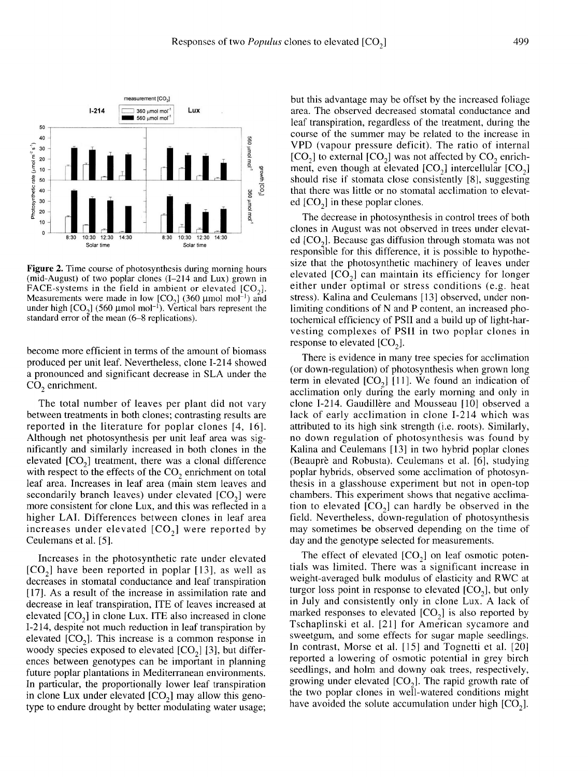

Figure 2. Time course of photosynthesis during morning hours (mid-August) of two poplar clones (I-214 and Lux) grown in FACE-systems in the field in ambient or elevated  $[CO<sub>2</sub>]$ . Measurements were made in low  $[CO<sub>2</sub>]$  (360 µmol mol<sup>-1</sup>) and under high  $[CO_2]$  (560 µmol mol<sup>-1</sup>). Vertical bars represent the standard error of the mean (6–8 replications).

become more efficient in terms of the amount of biomass produced per unit leaf. Nevertheless, clone I-214 showed a pronounced and significant decrease in SLA under the  $CO_2$  enrichment.

The total number of leaves per plant did not vary between treatments in both clones; contrasting results are reported in the literature for poplar clones [4, 16]. Although net photosynthesis per unit leaf area was significantly and similarly increased in both clones in the Although net photosynthesis per unit leaf area was significantly and similarly increased in both clones in the elevated  $[CO_2]$  treatment, there was a clonal difference with respect to the effects of the CO, enrichment on elevated  $[CO<sub>2</sub>]$  treatment, there was a clonal difference with respect to the effects of the  $CO<sub>2</sub>$  enrichment on total leaf area. Increases in leaf area (main stem leaves and with respect to the effects of the  $CO_2$  enrichment on total<br>leaf area. Increases in leaf area (main stem leaves and<br>secondarily branch leaves) under elevated  $[CO_2]$  were<br>more consistent for clone Lux, and this was refle more consistent for clone Lux, and this was reflected in a higher LAI. Differences between clones in leaf area increases under elevated  $[CO<sub>2</sub>]$  were reported by Ceulemans et al. [5].

Increases in the photosynthetic rate under elevated Increases in the photosynthetic rate under elevated  $[CO<sub>2</sub>]$  have been reported in poplar [13], as well as decreases in stomatal conductance and leaf transpiration decreases in stomatal conductance and leaf transpiration [17]. As a result of the increase in assimilation rate and decrease in leaf transpiration, ITE of leaves increased at  $[17]$ . As a result of the increase in assimilation rate and decrease in leaf transpiration, ITE of leaves increased at elevated  $[CO_2]$  in clone Lux. ITE also increased in clone I-214, despite not much reduction in leaf I-214, despite not much reduction in leaf transpiration by elevated  $[CO_2]$  in clone Lux. ITE also increased in clone<br>I-214, despite not much reduction in leaf transpiration by<br>elevated  $[CO_2]$ . This increase is a common response in<br>woody species exposed to elevated  $[CO_3]$  [3],  $1-214$ , despite not much reduction in lear transpiration by<br>elevated  $[CO_2]$ . This increase is a common response in<br>woody species exposed to elevated  $[CO_2]$  [3], but differ-<br>ences between genotypes can be important in p ences between genotypes can be important in planning future poplar plantations in Mediterranean environments. In particular, the proportionally lower leaf transpiration in clone Lux under elevated  $[CO<sub>2</sub>]$  may allow this genotype to endure drought by better modulating water usage;

but this advantage may be offset by the increased foliage area. The observed decreased stomatal conductance and leaf transpiration, regardless of the treatment, during the course of the summer may be related to the increase in course of the summer may be related to the increase in<br>VPD (vapour pressure deficit). The ratio of internal<br>[CO<sub>2</sub>] to external [CO<sub>2</sub>] was not affected by CO<sub>2</sub> enrich-<br>ment, even though at elevated [CO<sub>2</sub>] intercellular ment, even though at elevated should rise if stomata close consistently [8], suggesting  $[CO<sub>2</sub>]$  to external  $[CO<sub>2</sub>]$  was not affected by  $CO<sub>2</sub>$  enrichthat there was little or no stomatal acclimation to elevatshould rise if stomata close co<br>that there was little or no stoma<br>ed  $[CO<sub>2</sub>]$  in these poplar clones.

The decrease in photosynthesis in control trees of both clones in August was not observed in trees under elevat-The decrease in photosynthesis in control trees of both<br>clones in August was not observed in trees under elevat-<br>ed  $[CO_2]$ . Because gas diffusion through stomata was not<br>responsible for this difference, it is possible to responsible for this difference, it is possible to hypothesize that the photosynthetic machinery of leaves under elevated  $[CO<sub>2</sub>]$  can maintain its efficiency for longer either under optimal or stress conditions (e.g. heat stress). Kalina and Ceulemans [13] observed, under nonlimiting conditions of N and P content, an increased photochemical efficiency of PSII and a build up of light-harvesting complexes of PSII in two poplar clones in tochemical efficiency of PS<br>vesting complexes of PS<br>response to elevated [CO<sub>2</sub>].<br>There is ovidence in more

There is evidence in many tree species for acclimation (or down-regulation) of photosynthesis when grown long There is evidence in many tree species for acclimation<br>(or down-regulation) of photosynthesis when grown long<br>term in elevated  $[CO<sub>2</sub>]$  [11]. We found an indication of<br>acclimation only during the early morning and only acclimation only during the early morning and only in clone I-214. Gaudillère and Mousseau [10] observed a lack of early acclimation in clone I-214 which was attributed to its high sink strength (i.e. roots). Similarly, no down regulation of photosynthesis was found by Kalina and Ceulemans [13] in two hybrid poplar clones (Beauprè and Robusta). Ceulemans et al. [6], studying poplar hybrids, observed some acclimation of photosynthesis in a glasshouse experiment but not in open-top chambers. This experiment shows that negative acclimation to elevated  $[CO_2]$  can hardly be observed in the field. Nevertheless, down-regulation of photosynthesis may sometimes be observed depending on the time of day and the genotype selected for measurements.

The effect of elevated  $[CO<sub>2</sub>]$  on leaf osmotic potentials was limited. There was a significant increase in weight-averaged bulk modulus of elasticity and RWC at turgor loss point in response to elevated  $[CO<sub>2</sub>]$ , but only in July and consistently only in clone Lux. A la weight-averaged bulk modulus of elasticity and RWC at turgor loss point in response to elevated  $[CO_2]$ , but only in July and consistently only in clone Lux. A lack of marked responses to elevated  $[CO<sub>2</sub>]$  is also reported by Tschaplinski et al. [21] for American sycamore and sweetgum, and some effects for sugar maple seedlings. In contrast, Morse et al. [15] and Tognetti et al. [20] reported a lowering of osmotic potential in grey birch seedlings, and holm and downy oak trees, respectively, reported a lowering of osmotic potential in grey birch<br>seedlings, and holm and downy oak trees, respectively,<br>growing under elevated  $[CO_2]$ . The rapid growth rate of<br>the two poplar clones in well-watered conditions might the two poplar clones in well-watered conditions might growing under elevated  $[CO_2]$ . The rapid growth rate of<br>the two poplar clones in well-watered conditions might<br>have avoided the solute accumulation under high  $[CO_2]$ .